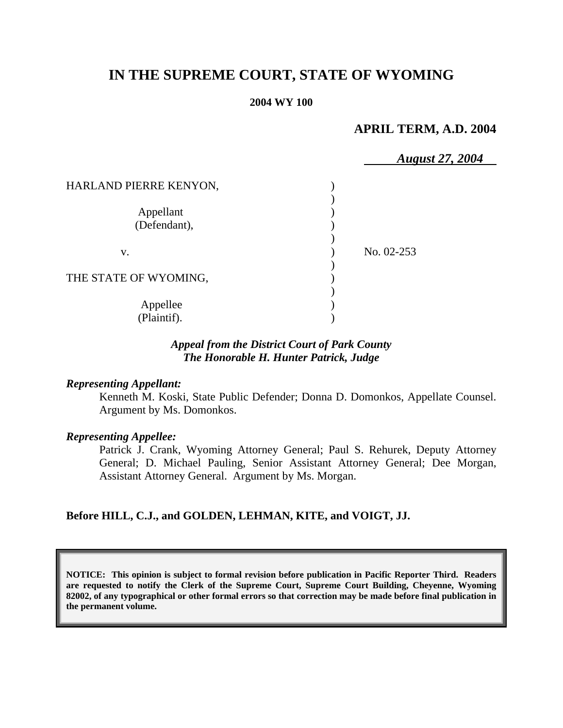# **IN THE SUPREME COURT, STATE OF WYOMING**

#### **2004 WY 100**

## **APRIL TERM, A.D. 2004**

|                           | <b>August 27, 2004</b> |  |
|---------------------------|------------------------|--|
| HARLAND PIERRE KENYON,    |                        |  |
| Appellant<br>(Defendant), |                        |  |
| V.                        | No. 02-253             |  |
| THE STATE OF WYOMING,     |                        |  |
| Appellee<br>(Plaintif).   |                        |  |

### *Appeal from the District Court of Park County The Honorable H. Hunter Patrick, Judge*

#### *Representing Appellant:*

Kenneth M. Koski, State Public Defender; Donna D. Domonkos, Appellate Counsel. Argument by Ms. Domonkos.

#### *Representing Appellee:*

Patrick J. Crank, Wyoming Attorney General; Paul S. Rehurek, Deputy Attorney General; D. Michael Pauling, Senior Assistant Attorney General; Dee Morgan, Assistant Attorney General. Argument by Ms. Morgan.

### **Before HILL, C.J., and GOLDEN, LEHMAN, KITE, and VOIGT, JJ.**

**NOTICE: This opinion is subject to formal revision before publication in Pacific Reporter Third. Readers are requested to notify the Clerk of the Supreme Court, Supreme Court Building, Cheyenne, Wyoming 82002, of any typographical or other formal errors so that correction may be made before final publication in the permanent volume.**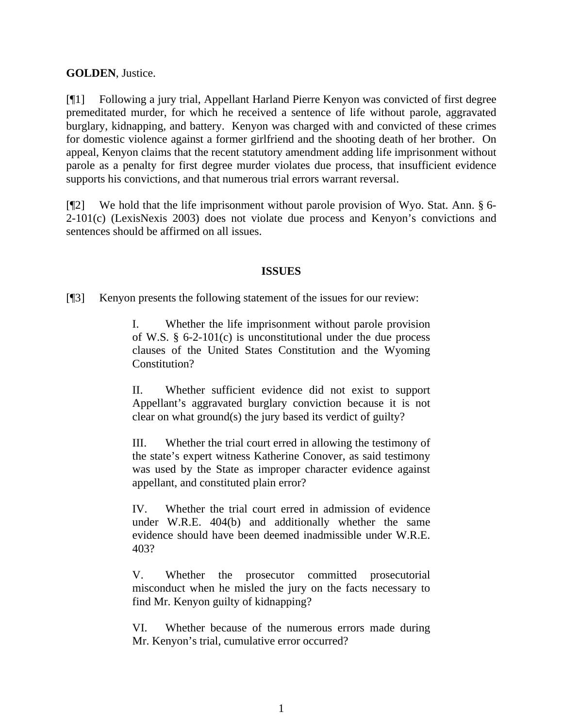## **GOLDEN**, Justice.

[¶1] Following a jury trial, Appellant Harland Pierre Kenyon was convicted of first degree premeditated murder, for which he received a sentence of life without parole, aggravated burglary, kidnapping, and battery. Kenyon was charged with and convicted of these crimes for domestic violence against a former girlfriend and the shooting death of her brother. On appeal, Kenyon claims that the recent statutory amendment adding life imprisonment without parole as a penalty for first degree murder violates due process, that insufficient evidence supports his convictions, and that numerous trial errors warrant reversal.

[¶2] We hold that the life imprisonment without parole provision of Wyo. Stat. Ann. § 6- 2-101(c) (LexisNexis 2003) does not violate due process and Kenyon's convictions and sentences should be affirmed on all issues.

## **ISSUES**

[¶3] Kenyon presents the following statement of the issues for our review:

I. Whether the life imprisonment without parole provision of W.S.  $\S$  6-2-101(c) is unconstitutional under the due process clauses of the United States Constitution and the Wyoming Constitution?

II. Whether sufficient evidence did not exist to support Appellant's aggravated burglary conviction because it is not clear on what ground(s) the jury based its verdict of guilty?

III. Whether the trial court erred in allowing the testimony of the state's expert witness Katherine Conover, as said testimony was used by the State as improper character evidence against appellant, and constituted plain error?

IV. Whether the trial court erred in admission of evidence under W.R.E. 404(b) and additionally whether the same evidence should have been deemed inadmissible under W.R.E. 403?

V. Whether the prosecutor committed prosecutorial misconduct when he misled the jury on the facts necessary to find Mr. Kenyon guilty of kidnapping?

VI. Whether because of the numerous errors made during Mr. Kenyon's trial, cumulative error occurred?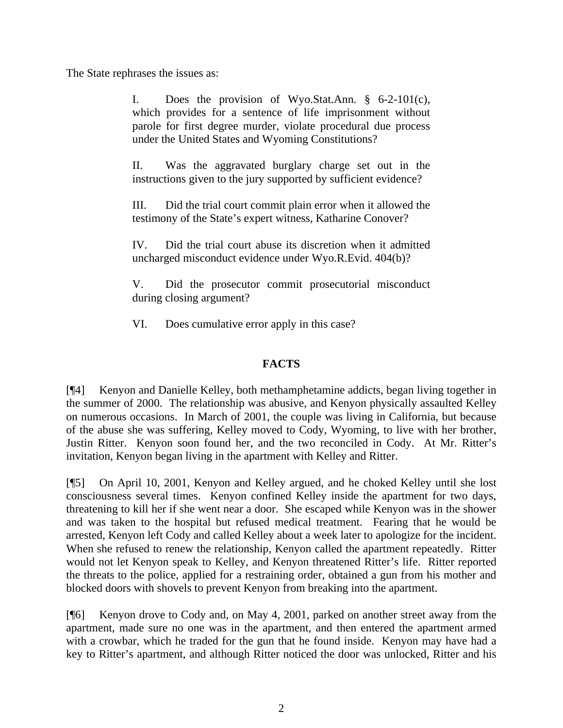The State rephrases the issues as:

I. Does the provision of Wyo.Stat.Ann. § 6-2-101(c), which provides for a sentence of life imprisonment without parole for first degree murder, violate procedural due process under the United States and Wyoming Constitutions?

II. Was the aggravated burglary charge set out in the instructions given to the jury supported by sufficient evidence?

III. Did the trial court commit plain error when it allowed the testimony of the State's expert witness, Katharine Conover?

IV. Did the trial court abuse its discretion when it admitted uncharged misconduct evidence under Wyo.R.Evid. 404(b)?

V. Did the prosecutor commit prosecutorial misconduct during closing argument?

VI. Does cumulative error apply in this case?

## **FACTS**

[¶4] Kenyon and Danielle Kelley, both methamphetamine addicts, began living together in the summer of 2000. The relationship was abusive, and Kenyon physically assaulted Kelley on numerous occasions. In March of 2001, the couple was living in California, but because of the abuse she was suffering, Kelley moved to Cody, Wyoming, to live with her brother, Justin Ritter. Kenyon soon found her, and the two reconciled in Cody. At Mr. Ritter's invitation, Kenyon began living in the apartment with Kelley and Ritter.

[¶5] On April 10, 2001, Kenyon and Kelley argued, and he choked Kelley until she lost consciousness several times. Kenyon confined Kelley inside the apartment for two days, threatening to kill her if she went near a door. She escaped while Kenyon was in the shower and was taken to the hospital but refused medical treatment. Fearing that he would be arrested, Kenyon left Cody and called Kelley about a week later to apologize for the incident. When she refused to renew the relationship, Kenyon called the apartment repeatedly. Ritter would not let Kenyon speak to Kelley, and Kenyon threatened Ritter's life. Ritter reported the threats to the police, applied for a restraining order, obtained a gun from his mother and blocked doors with shovels to prevent Kenyon from breaking into the apartment.

[¶6] Kenyon drove to Cody and, on May 4, 2001, parked on another street away from the apartment, made sure no one was in the apartment, and then entered the apartment armed with a crowbar, which he traded for the gun that he found inside. Kenyon may have had a key to Ritter's apartment, and although Ritter noticed the door was unlocked, Ritter and his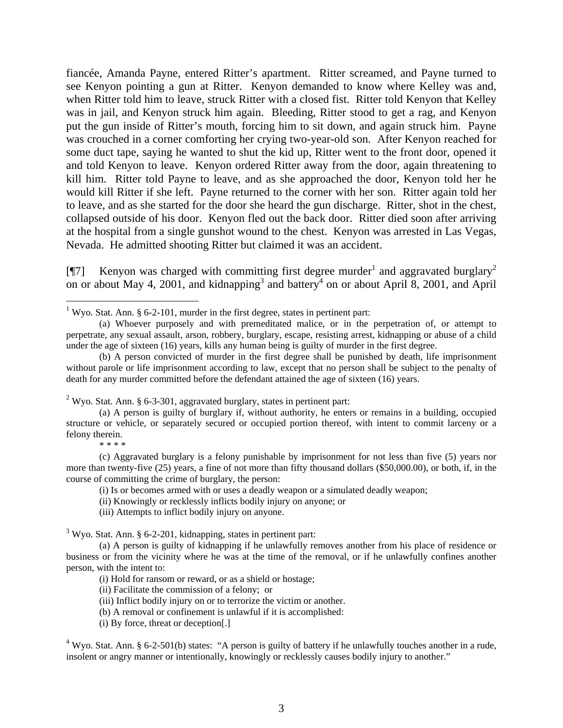fiancée, Amanda Payne, entered Ritter's apartment. Ritter screamed, and Payne turned to see Kenyon pointing a gun at Ritter. Kenyon demanded to know where Kelley was and, when Ritter told him to leave, struck Ritter with a closed fist. Ritter told Kenyon that Kelley was in jail, and Kenyon struck him again. Bleeding, Ritter stood to get a rag, and Kenyon put the gun inside of Ritter's mouth, forcing him to sit down, and again struck him. Payne was crouched in a corner comforting her crying two-year-old son. After Kenyon reached for some duct tape, saying he wanted to shut the kid up, Ritter went to the front door, opened it and told Kenyon to leave. Kenyon ordered Ritter away from the door, again threatening to kill him. Ritter told Payne to leave, and as she approached the door, Kenyon told her he would kill Ritter if she left. Payne returned to the corner with her son. Ritter again told her to leave, and as she started for the door she heard the gun discharge. Ritter, shot in the chest, collapsed outside of his door. Kenyon fled out the back door. Ritter died soon after arriving at the hospital from a single gunshot wound to the chest. Kenyon was arrested in Las Vegas, Nevada. He admitted shooting Ritter but claimed it was an accident.

[ $[$ ] Kenyon was charged with committing first degree murder<sup>1</sup> and aggravated burglary<sup>2</sup> on or about May 4, 2001, and kidnapping<sup>3</sup> and battery<sup>4</sup> on or about April 8, 2001, and April

<sup>2</sup> Wyo. Stat. Ann. § 6-3-301, aggravated burglary, states in pertinent part:

\* \* \* \*

(c) Aggravated burglary is a felony punishable by imprisonment for not less than five (5) years nor more than twenty-five (25) years, a fine of not more than fifty thousand dollars (\$50,000.00), or both, if, in the course of committing the crime of burglary, the person:

(i) Is or becomes armed with or uses a deadly weapon or a simulated deadly weapon;

- (ii) Knowingly or recklessly inflicts bodily injury on anyone; or
- (iii) Attempts to inflict bodily injury on anyone.

<sup>3</sup> Wyo. Stat. Ann. § 6-2-201, kidnapping, states in pertinent part:

(a) A person is guilty of kidnapping if he unlawfully removes another from his place of residence or business or from the vicinity where he was at the time of the removal, or if he unlawfully confines another person, with the intent to:

(i) Hold for ransom or reward, or as a shield or hostage;

(ii) Facilitate the commission of a felony; or

(iii) Inflict bodily injury on or to terrorize the victim or another.

(b) A removal or confinement is unlawful if it is accomplished:

(i) By force, threat or deception[.]

<sup>4</sup> Wyo. Stat. Ann. § 6-2-501(b) states: "A person is guilty of battery if he unlawfully touches another in a rude, insolent or angry manner or intentionally, knowingly or recklessly causes bodily injury to another."

<sup>&</sup>lt;sup>1</sup> Wyo. Stat. Ann. § 6-2-101, murder in the first degree, states in pertinent part:

<sup>(</sup>a) Whoever purposely and with premeditated malice, or in the perpetration of, or attempt to perpetrate, any sexual assault, arson, robbery, burglary, escape, resisting arrest, kidnapping or abuse of a child under the age of sixteen (16) years, kills any human being is guilty of murder in the first degree.

<sup>(</sup>b) A person convicted of murder in the first degree shall be punished by death, life imprisonment without parole or life imprisonment according to law, except that no person shall be subject to the penalty of death for any murder committed before the defendant attained the age of sixteen (16) years.

<sup>(</sup>a) A person is guilty of burglary if, without authority, he enters or remains in a building, occupied structure or vehicle, or separately secured or occupied portion thereof, with intent to commit larceny or a felony therein.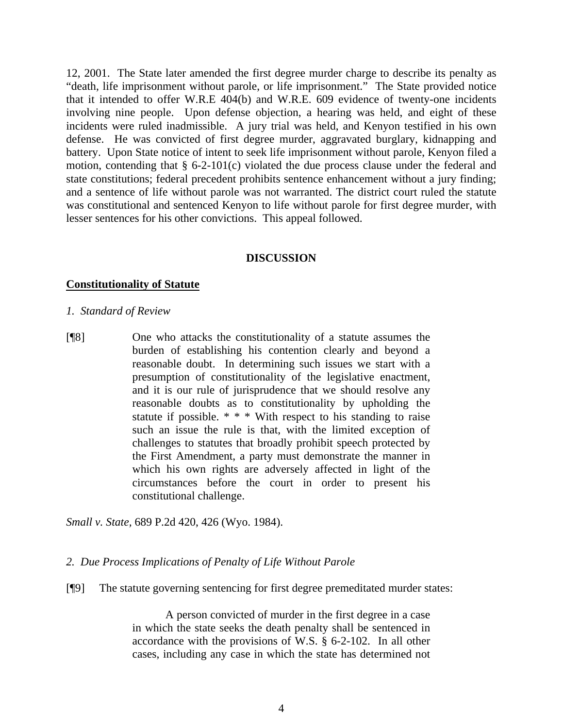12, 2001. The State later amended the first degree murder charge to describe its penalty as "death, life imprisonment without parole, or life imprisonment." The State provided notice that it intended to offer W.R.E 404(b) and W.R.E. 609 evidence of twenty-one incidents involving nine people. Upon defense objection, a hearing was held, and eight of these incidents were ruled inadmissible. A jury trial was held, and Kenyon testified in his own defense. He was convicted of first degree murder, aggravated burglary, kidnapping and battery. Upon State notice of intent to seek life imprisonment without parole, Kenyon filed a motion, contending that § 6-2-101(c) violated the due process clause under the federal and state constitutions; federal precedent prohibits sentence enhancement without a jury finding; and a sentence of life without parole was not warranted. The district court ruled the statute was constitutional and sentenced Kenyon to life without parole for first degree murder, with lesser sentences for his other convictions. This appeal followed.

#### **DISCUSSION**

#### **Constitutionality of Statute**

- *1. Standard of Review*
- [¶8] One who attacks the constitutionality of a statute assumes the burden of establishing his contention clearly and beyond a reasonable doubt. In determining such issues we start with a presumption of constitutionality of the legislative enactment, and it is our rule of jurisprudence that we should resolve any reasonable doubts as to constitutionality by upholding the statute if possible. \* \* \* With respect to his standing to raise such an issue the rule is that, with the limited exception of challenges to statutes that broadly prohibit speech protected by the First Amendment, a party must demonstrate the manner in which his own rights are adversely affected in light of the circumstances before the court in order to present his constitutional challenge.

*Small v. State,* 689 P.2d 420, 426 (Wyo. 1984).

#### *2. Due Process Implications of Penalty of Life Without Parole*

[¶9] The statute governing sentencing for first degree premeditated murder states:

A person convicted of murder in the first degree in a case in which the state seeks the death penalty shall be sentenced in accordance with the provisions of W.S. § 6-2-102. In all other cases, including any case in which the state has determined not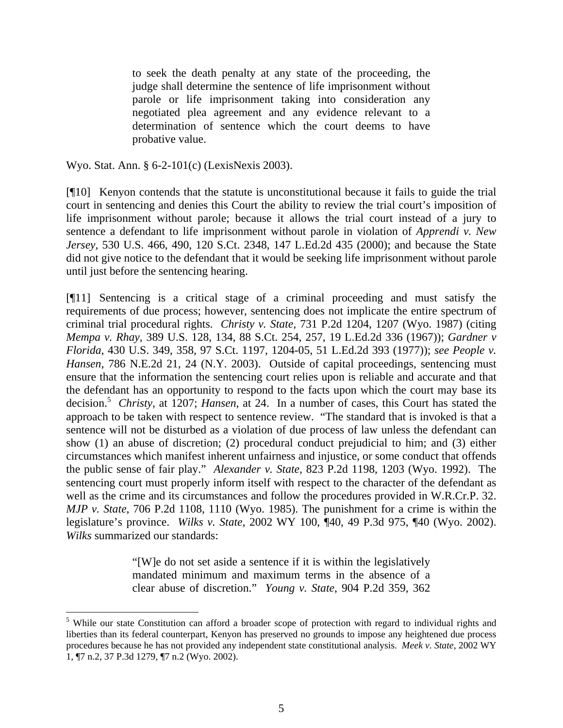to seek the death penalty at any state of the proceeding, the judge shall determine the sentence of life imprisonment without parole or life imprisonment taking into consideration any negotiated plea agreement and any evidence relevant to a determination of sentence which the court deems to have probative value.

Wyo. Stat. Ann. § 6-2-101(c) (LexisNexis 2003).

 $\overline{a}$ 

[¶10] Kenyon contends that the statute is unconstitutional because it fails to guide the trial court in sentencing and denies this Court the ability to review the trial court's imposition of life imprisonment without parole; because it allows the trial court instead of a jury to sentence a defendant to life imprisonment without parole in violation of *Apprendi v. New Jersey,* 530 U.S. 466, 490, 120 S.Ct. 2348, 147 L.Ed.2d 435 (2000); and because the State did not give notice to the defendant that it would be seeking life imprisonment without parole until just before the sentencing hearing.

[¶11] Sentencing is a critical stage of a criminal proceeding and must satisfy the requirements of due process; however, sentencing does not implicate the entire spectrum of criminal trial procedural rights. *Christy v. State,* 731 P.2d 1204, 1207 (Wyo. 1987) (citing *Mempa v. Rhay,* 389 U.S. 128, 134, 88 S.Ct. 254, 257, 19 L.Ed.2d 336 (1967)); *Gardner v Florida*, 430 U.S. 349, 358, 97 S.Ct. 1197, 1204-05, 51 L.Ed.2d 393 (1977)); *see People v. Hansen*, 786 N.E.2d 21, 24 (N.Y. 2003). Outside of capital proceedings, sentencing must ensure that the information the sentencing court relies upon is reliable and accurate and that the defendant has an opportunity to respond to the facts upon which the court may base its decision.<sup>5</sup> *Christy*, at 1207; *Hansen*, at 24. In a number of cases, this Court has stated the approach to be taken with respect to sentence review. "The standard that is invoked is that a sentence will not be disturbed as a violation of due process of law unless the defendant can show (1) an abuse of discretion; (2) procedural conduct prejudicial to him; and (3) either circumstances which manifest inherent unfairness and injustice, or some conduct that offends the public sense of fair play." *Alexander v. State,* 823 P.2d 1198, 1203 (Wyo. 1992). The sentencing court must properly inform itself with respect to the character of the defendant as well as the crime and its circumstances and follow the procedures provided in W.R.Cr.P. 32. *MJP v. State*, 706 P.2d 1108, 1110 (Wyo. 1985). The punishment for a crime is within the legislature's province. *Wilks v. State,* 2002 WY 100, ¶40, 49 P.3d 975, ¶40 (Wyo. 2002). *Wilks* summarized our standards:

> "[W]e do not set aside a sentence if it is within the legislatively mandated minimum and maximum terms in the absence of a clear abuse of discretion." *Young v. State*, 904 P.2d 359, 362

<sup>&</sup>lt;sup>5</sup> While our state Constitution can afford a broader scope of protection with regard to individual rights and liberties than its federal counterpart, Kenyon has preserved no grounds to impose any heightened due process procedures because he has not provided any independent state constitutional analysis. *Meek v. State,* 2002 WY 1, ¶7 n.2, 37 P.3d 1279, ¶7 n.2 (Wyo. 2002).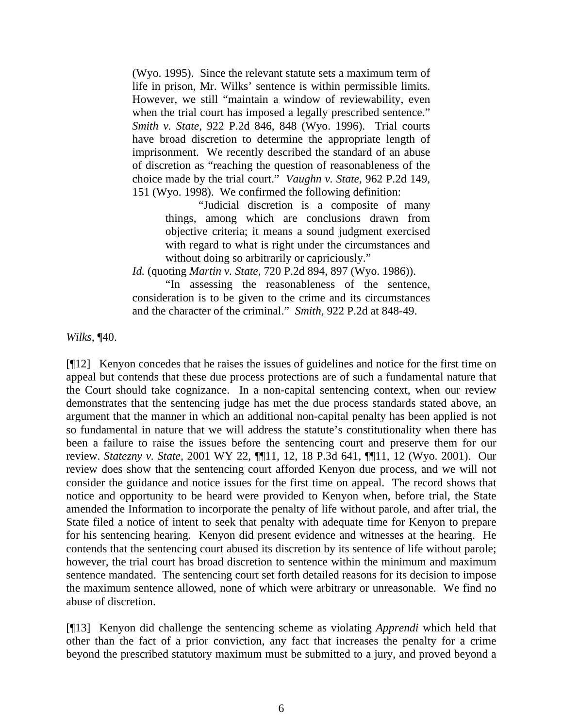(Wyo. 1995). Since the relevant statute sets a maximum term of life in prison, Mr. Wilks' sentence is within permissible limits. However, we still "maintain a window of reviewability, even when the trial court has imposed a legally prescribed sentence." *Smith v. State*, 922 P.2d 846, 848 (Wyo. 1996). Trial courts have broad discretion to determine the appropriate length of imprisonment. We recently described the standard of an abuse of discretion as "reaching the question of reasonableness of the choice made by the trial court." *Vaughn v. State,* 962 P.2d 149, 151 (Wyo. 1998). We confirmed the following definition:

> "Judicial discretion is a composite of many things, among which are conclusions drawn from objective criteria; it means a sound judgment exercised with regard to what is right under the circumstances and without doing so arbitrarily or capriciously."

*Id.* (quoting *Martin v. State*, 720 P.2d 894, 897 (Wyo. 1986)).

"In assessing the reasonableness of the sentence, consideration is to be given to the crime and its circumstances and the character of the criminal." *Smith*, 922 P.2d at 848-49.

*Wilks,* ¶40.

[¶12] Kenyon concedes that he raises the issues of guidelines and notice for the first time on appeal but contends that these due process protections are of such a fundamental nature that the Court should take cognizance. In a non-capital sentencing context, when our review demonstrates that the sentencing judge has met the due process standards stated above, an argument that the manner in which an additional non-capital penalty has been applied is not so fundamental in nature that we will address the statute's constitutionality when there has been a failure to raise the issues before the sentencing court and preserve them for our review. *Statezny v. State,* 2001 WY 22, ¶¶11, 12, 18 P.3d 641, ¶¶11, 12 (Wyo. 2001). Our review does show that the sentencing court afforded Kenyon due process, and we will not consider the guidance and notice issues for the first time on appeal. The record shows that notice and opportunity to be heard were provided to Kenyon when, before trial, the State amended the Information to incorporate the penalty of life without parole, and after trial, the State filed a notice of intent to seek that penalty with adequate time for Kenyon to prepare for his sentencing hearing. Kenyon did present evidence and witnesses at the hearing. He contends that the sentencing court abused its discretion by its sentence of life without parole; however, the trial court has broad discretion to sentence within the minimum and maximum sentence mandated. The sentencing court set forth detailed reasons for its decision to impose the maximum sentence allowed, none of which were arbitrary or unreasonable. We find no abuse of discretion.

[¶13] Kenyon did challenge the sentencing scheme as violating *Apprendi* which held that other than the fact of a prior conviction, any fact that increases the penalty for a crime beyond the prescribed statutory maximum must be submitted to a jury, and proved beyond a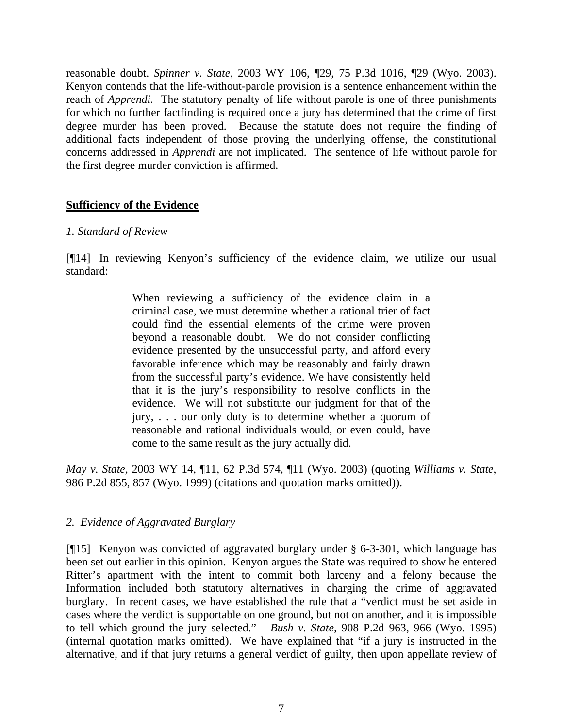reasonable doubt. *Spinner v. State,* 2003 WY 106, ¶29, 75 P.3d 1016, ¶29 (Wyo. 2003). Kenyon contends that the life-without-parole provision is a sentence enhancement within the reach of *Apprendi.* The statutory penalty of life without parole is one of three punishments for which no further factfinding is required once a jury has determined that the crime of first degree murder has been proved. Because the statute does not require the finding of additional facts independent of those proving the underlying offense, the constitutional concerns addressed in *Apprendi* are not implicated. The sentence of life without parole for the first degree murder conviction is affirmed.

### **Sufficiency of the Evidence**

### *1. Standard of Review*

[¶14] In reviewing Kenyon's sufficiency of the evidence claim, we utilize our usual standard:

> When reviewing a sufficiency of the evidence claim in a criminal case, we must determine whether a rational trier of fact could find the essential elements of the crime were proven beyond a reasonable doubt. We do not consider conflicting evidence presented by the unsuccessful party, and afford every favorable inference which may be reasonably and fairly drawn from the successful party's evidence. We have consistently held that it is the jury's responsibility to resolve conflicts in the evidence. We will not substitute our judgment for that of the jury, . . . our only duty is to determine whether a quorum of reasonable and rational individuals would, or even could, have come to the same result as the jury actually did.

*May v. State,* 2003 WY 14, ¶11, 62 P.3d 574, ¶11 (Wyo. 2003) (quoting *Williams v. State*, 986 P.2d 855, 857 (Wyo. 1999) (citations and quotation marks omitted)).

## *2. Evidence of Aggravated Burglary*

[¶15] Kenyon was convicted of aggravated burglary under § 6-3-301, which language has been set out earlier in this opinion. Kenyon argues the State was required to show he entered Ritter's apartment with the intent to commit both larceny and a felony because the Information included both statutory alternatives in charging the crime of aggravated burglary. In recent cases, we have established the rule that a "verdict must be set aside in cases where the verdict is supportable on one ground, but not on another, and it is impossible to tell which ground the jury selected." *Bush v. State,* 908 P.2d 963, 966 (Wyo. 1995) (internal quotation marks omitted).We have explained that "if a jury is instructed in the alternative, and if that jury returns a general verdict of guilty, then upon appellate review of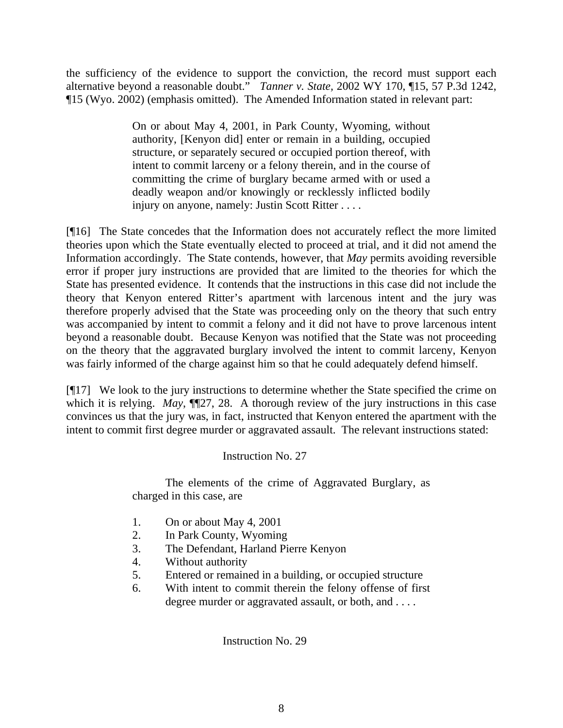the sufficiency of the evidence to support the conviction, the record must support each alternative beyond a reasonable doubt." *Tanner v. State,* 2002 WY 170, ¶15, 57 P.3d 1242, ¶15 (Wyo. 2002) (emphasis omitted).The Amended Information stated in relevant part:

> On or about May 4, 2001, in Park County, Wyoming, without authority, [Kenyon did] enter or remain in a building, occupied structure, or separately secured or occupied portion thereof, with intent to commit larceny or a felony therein, and in the course of committing the crime of burglary became armed with or used a deadly weapon and/or knowingly or recklessly inflicted bodily injury on anyone, namely: Justin Scott Ritter . . . .

[¶16] The State concedes that the Information does not accurately reflect the more limited theories upon which the State eventually elected to proceed at trial, and it did not amend the Information accordingly. The State contends, however, that *May* permits avoiding reversible error if proper jury instructions are provided that are limited to the theories for which the State has presented evidence. It contends that the instructions in this case did not include the theory that Kenyon entered Ritter's apartment with larcenous intent and the jury was therefore properly advised that the State was proceeding only on the theory that such entry was accompanied by intent to commit a felony and it did not have to prove larcenous intent beyond a reasonable doubt. Because Kenyon was notified that the State was not proceeding on the theory that the aggravated burglary involved the intent to commit larceny, Kenyon was fairly informed of the charge against him so that he could adequately defend himself.

[¶17] We look to the jury instructions to determine whether the State specified the crime on which it is relying. *May*,  $\P$ [27, 28. A thorough review of the jury instructions in this case convinces us that the jury was, in fact, instructed that Kenyon entered the apartment with the intent to commit first degree murder or aggravated assault. The relevant instructions stated:

## Instruction No. 27

The elements of the crime of Aggravated Burglary, as charged in this case, are

- 1. On or about May 4, 2001
- 2. In Park County, Wyoming
- 3. The Defendant, Harland Pierre Kenyon
- 4. Without authority
- 5. Entered or remained in a building, or occupied structure
- 6. With intent to commit therein the felony offense of first degree murder or aggravated assault, or both, and ....

Instruction No. 29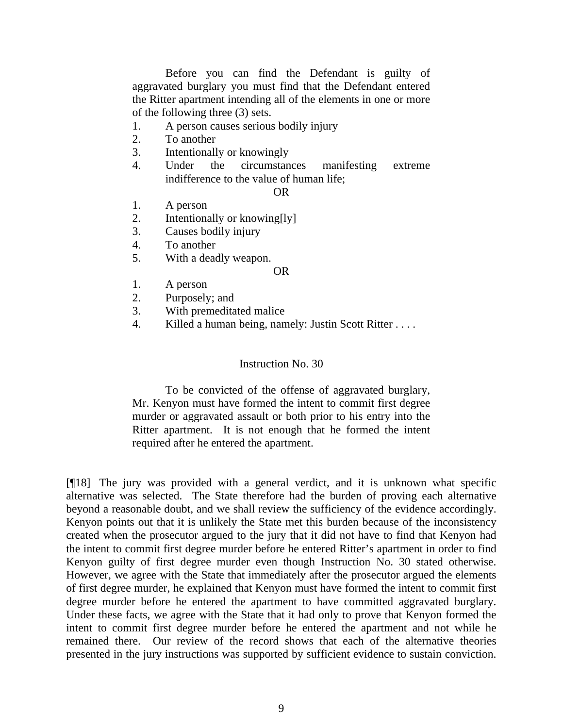Before you can find the Defendant is guilty of aggravated burglary you must find that the Defendant entered the Ritter apartment intending all of the elements in one or more of the following three (3) sets.

- 1. A person causes serious bodily injury
- 2. To another
- 3. Intentionally or knowingly
- 4. Under the circumstances manifesting extreme indifference to the value of human life;

#### OR

- 1. A person
- 2. Intentionally or knowing[ly]
- 3. Causes bodily injury
- 4. To another
- 5. With a deadly weapon.

#### OR

- 1. A person
- 2. Purposely; and
- 3. With premeditated malice
- 4. Killed a human being, namely: Justin Scott Ritter . . . .

#### Instruction No. 30

To be convicted of the offense of aggravated burglary, Mr. Kenyon must have formed the intent to commit first degree murder or aggravated assault or both prior to his entry into the Ritter apartment. It is not enough that he formed the intent required after he entered the apartment.

[¶18] The jury was provided with a general verdict, and it is unknown what specific alternative was selected. The State therefore had the burden of proving each alternative beyond a reasonable doubt, and we shall review the sufficiency of the evidence accordingly. Kenyon points out that it is unlikely the State met this burden because of the inconsistency created when the prosecutor argued to the jury that it did not have to find that Kenyon had the intent to commit first degree murder before he entered Ritter's apartment in order to find Kenyon guilty of first degree murder even though Instruction No. 30 stated otherwise. However, we agree with the State that immediately after the prosecutor argued the elements of first degree murder, he explained that Kenyon must have formed the intent to commit first degree murder before he entered the apartment to have committed aggravated burglary. Under these facts, we agree with the State that it had only to prove that Kenyon formed the intent to commit first degree murder before he entered the apartment and not while he remained there. Our review of the record shows that each of the alternative theories presented in the jury instructions was supported by sufficient evidence to sustain conviction.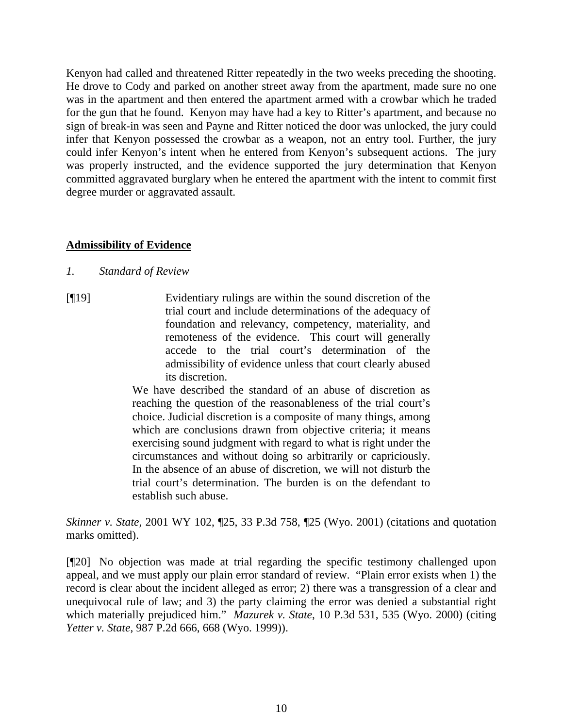Kenyon had called and threatened Ritter repeatedly in the two weeks preceding the shooting. He drove to Cody and parked on another street away from the apartment, made sure no one was in the apartment and then entered the apartment armed with a crowbar which he traded for the gun that he found. Kenyon may have had a key to Ritter's apartment, and because no sign of break-in was seen and Payne and Ritter noticed the door was unlocked, the jury could infer that Kenyon possessed the crowbar as a weapon, not an entry tool. Further, the jury could infer Kenyon's intent when he entered from Kenyon's subsequent actions. The jury was properly instructed, and the evidence supported the jury determination that Kenyon committed aggravated burglary when he entered the apartment with the intent to commit first degree murder or aggravated assault.

## **Admissibility of Evidence**

- *1. Standard of Review*
- [¶19] Evidentiary rulings are within the sound discretion of the trial court and include determinations of the adequacy of foundation and relevancy, competency, materiality, and remoteness of the evidence. This court will generally accede to the trial court's determination of the admissibility of evidence unless that court clearly abused its discretion.

We have described the standard of an abuse of discretion as reaching the question of the reasonableness of the trial court's choice. Judicial discretion is a composite of many things, among which are conclusions drawn from objective criteria; it means exercising sound judgment with regard to what is right under the circumstances and without doing so arbitrarily or capriciously. In the absence of an abuse of discretion, we will not disturb the trial court's determination. The burden is on the defendant to establish such abuse.

*Skinner v. State,* 2001 WY 102, ¶25, 33 P.3d 758, ¶25 (Wyo. 2001) (citations and quotation marks omitted).

[¶20] No objection was made at trial regarding the specific testimony challenged upon appeal, and we must apply our plain error standard of review. "Plain error exists when 1) the record is clear about the incident alleged as error; 2) there was a transgression of a clear and unequivocal rule of law; and 3) the party claiming the error was denied a substantial right which materially prejudiced him." *Mazurek v. State*, 10 P.3d 531, 535 (Wyo. 2000) (citing *Yetter v. State*, 987 P.2d 666, 668 (Wyo. 1999)).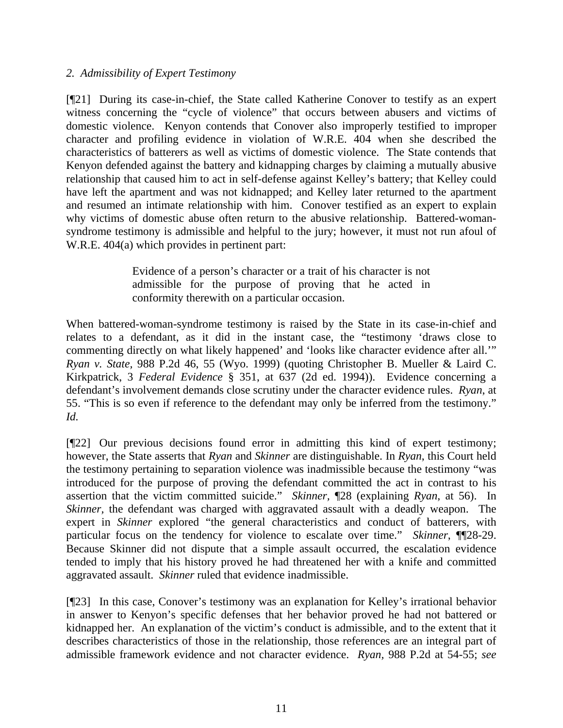### *2. Admissibility of Expert Testimony*

[¶21] During its case-in-chief, the State called Katherine Conover to testify as an expert witness concerning the "cycle of violence" that occurs between abusers and victims of domestic violence. Kenyon contends that Conover also improperly testified to improper character and profiling evidence in violation of W.R.E. 404 when she described the characteristics of batterers as well as victims of domestic violence. The State contends that Kenyon defended against the battery and kidnapping charges by claiming a mutually abusive relationship that caused him to act in self-defense against Kelley's battery; that Kelley could have left the apartment and was not kidnapped; and Kelley later returned to the apartment and resumed an intimate relationship with him. Conover testified as an expert to explain why victims of domestic abuse often return to the abusive relationship. Battered-womansyndrome testimony is admissible and helpful to the jury; however, it must not run afoul of W.R.E. 404(a) which provides in pertinent part:

> Evidence of a person's character or a trait of his character is not admissible for the purpose of proving that he acted in conformity therewith on a particular occasion.

When battered-woman-syndrome testimony is raised by the State in its case-in-chief and relates to a defendant, as it did in the instant case, the "testimony 'draws close to commenting directly on what likely happened' and 'looks like character evidence after all.'" *Ryan v. State,* 988 P.2d 46, 55 (Wyo. 1999) (quoting Christopher B. Mueller & Laird C. Kirkpatrick, 3 *Federal Evidence* § 351, at 637 (2d ed. 1994)). Evidence concerning a defendant's involvement demands close scrutiny under the character evidence rules. *Ryan*, at 55. "This is so even if reference to the defendant may only be inferred from the testimony." *Id.* 

[¶22] Our previous decisions found error in admitting this kind of expert testimony; however, the State asserts that *Ryan* and *Skinner* are distinguishable. In *Ryan*, this Court held the testimony pertaining to separation violence was inadmissible because the testimony "was introduced for the purpose of proving the defendant committed the act in contrast to his assertion that the victim committed suicide." *Skinner,* ¶28 (explaining *Ryan*, at 56). In *Skinner*, the defendant was charged with aggravated assault with a deadly weapon. The expert in *Skinner* explored "the general characteristics and conduct of batterers, with particular focus on the tendency for violence to escalate over time." *Skinner*, ¶¶28-29. Because Skinner did not dispute that a simple assault occurred, the escalation evidence tended to imply that his history proved he had threatened her with a knife and committed aggravated assault. *Skinner* ruled that evidence inadmissible.

[¶23] In this case, Conover's testimony was an explanation for Kelley's irrational behavior in answer to Kenyon's specific defenses that her behavior proved he had not battered or kidnapped her. An explanation of the victim's conduct is admissible, and to the extent that it describes characteristics of those in the relationship, those references are an integral part of admissible framework evidence and not character evidence. *Ryan,* 988 P.2d at 54-55; *see*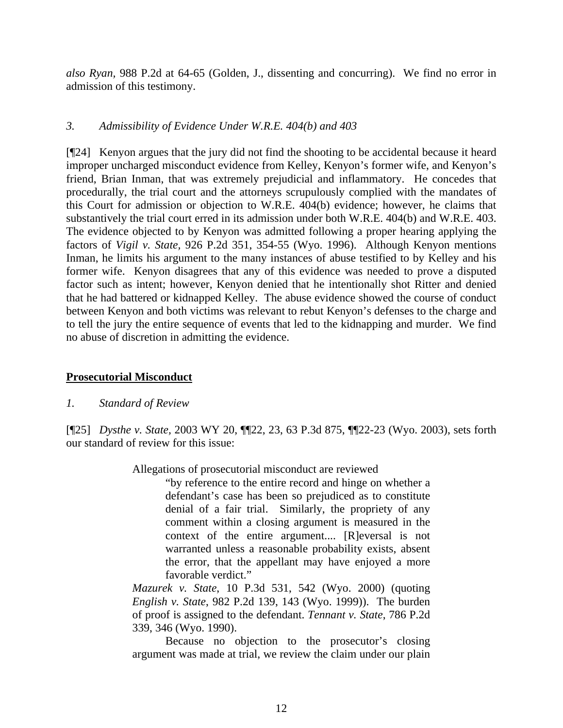*also Ryan,* 988 P.2d at 64-65 (Golden, J., dissenting and concurring). We find no error in admission of this testimony.

## *3. Admissibility of Evidence Under W.R.E. 404(b) and 403*

[¶24] Kenyon argues that the jury did not find the shooting to be accidental because it heard improper uncharged misconduct evidence from Kelley, Kenyon's former wife, and Kenyon's friend, Brian Inman, that was extremely prejudicial and inflammatory. He concedes that procedurally, the trial court and the attorneys scrupulously complied with the mandates of this Court for admission or objection to W.R.E. 404(b) evidence; however, he claims that substantively the trial court erred in its admission under both W.R.E. 404(b) and W.R.E. 403. The evidence objected to by Kenyon was admitted following a proper hearing applying the factors of *Vigil v. State,* 926 P.2d 351, 354-55 (Wyo. 1996). Although Kenyon mentions Inman, he limits his argument to the many instances of abuse testified to by Kelley and his former wife. Kenyon disagrees that any of this evidence was needed to prove a disputed factor such as intent; however, Kenyon denied that he intentionally shot Ritter and denied that he had battered or kidnapped Kelley. The abuse evidence showed the course of conduct between Kenyon and both victims was relevant to rebut Kenyon's defenses to the charge and to tell the jury the entire sequence of events that led to the kidnapping and murder. We find no abuse of discretion in admitting the evidence.

## **Prosecutorial Misconduct**

## *1. Standard of Review*

[¶25] *Dysthe v. State,* 2003 WY 20, ¶¶22, 23, 63 P.3d 875, ¶¶22-23 (Wyo. 2003), sets forth our standard of review for this issue:

Allegations of prosecutorial misconduct are reviewed

"by reference to the entire record and hinge on whether a defendant's case has been so prejudiced as to constitute denial of a fair trial. Similarly, the propriety of any comment within a closing argument is measured in the context of the entire argument.... [R]eversal is not warranted unless a reasonable probability exists, absent the error, that the appellant may have enjoyed a more favorable verdict."

*Mazurek v. State*, 10 P.3d 531, 542 (Wyo. 2000) (quoting *English v. State*, 982 P.2d 139, 143 (Wyo. 1999)). The burden of proof is assigned to the defendant. *Tennant v. State*, 786 P.2d 339, 346 (Wyo. 1990).

Because no objection to the prosecutor's closing argument was made at trial, we review the claim under our plain